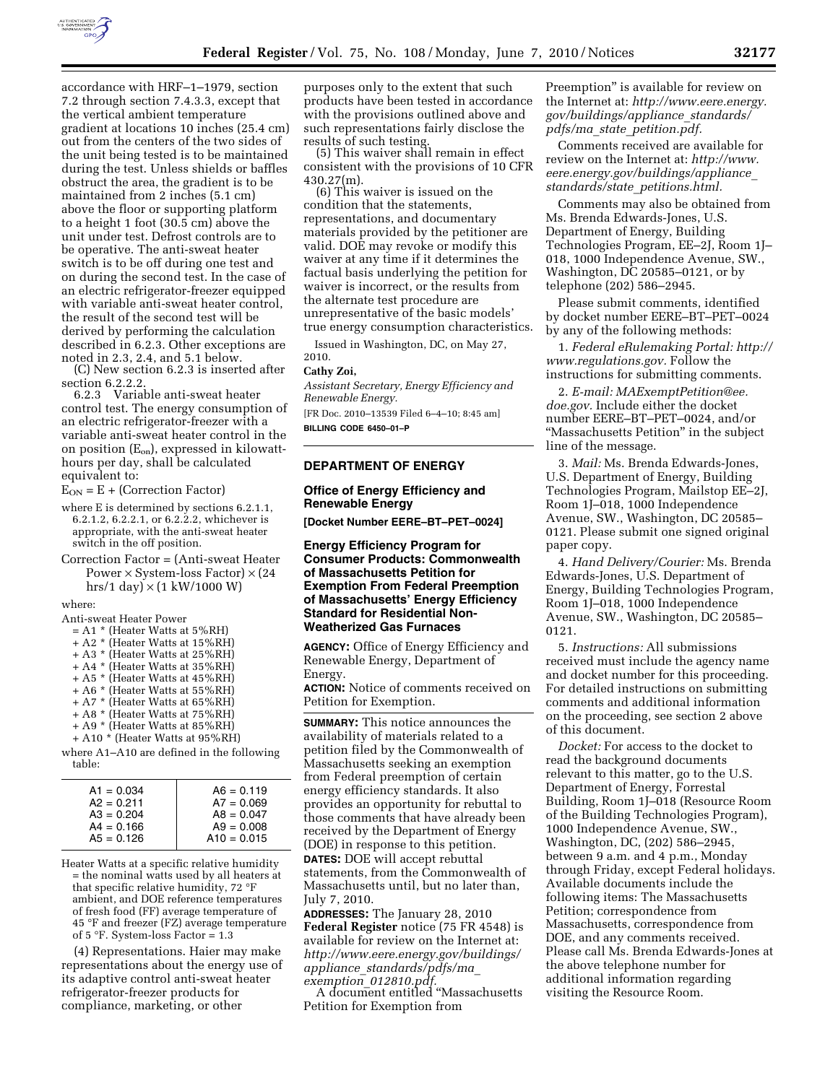

accordance with HRF–1–1979, section 7.2 through section 7.4.3.3, except that the vertical ambient temperature gradient at locations 10 inches (25.4 cm) out from the centers of the two sides of the unit being tested is to be maintained during the test. Unless shields or baffles obstruct the area, the gradient is to be maintained from 2 inches (5.1 cm) above the floor or supporting platform to a height 1 foot (30.5 cm) above the unit under test. Defrost controls are to be operative. The anti-sweat heater switch is to be off during one test and on during the second test. In the case of an electric refrigerator-freezer equipped with variable anti-sweat heater control, the result of the second test will be derived by performing the calculation described in 6.2.3. Other exceptions are noted in 2.3, 2.4, and 5.1 below.

(C) New section 6.2.3 is inserted after section 6.2.2.2.

6.2.3 Variable anti-sweat heater control test. The energy consumption of an electric refrigerator-freezer with a variable anti-sweat heater control in the on position  $(E_{on})$ , expressed in kilowatthours per day, shall be calculated equivalent to:

 $E_{ON} = E + (Correction Factor)$ 

- where E is determined by sections 6.2.1.1, 6.2.1.2, 6.2.2.1, or 6.2.2.2, whichever is appropriate, with the anti-sweat heater switch in the off position.
- Correction Factor = (Anti-sweat Heater Power  $\times$  System-loss Factor)  $\times$  (24 hrs/1 day)  $\times$  (1 kW/1000 W)

where:

Anti-sweat Heater Power

|  | $= A1$ * (Heater Watts at 5%RH) |
|--|---------------------------------|
|--|---------------------------------|

- + A2 \* (Heater Watts at 15%RH)
- + A3 \* (Heater Watts at 25%RH)
- + A4 \* (Heater Watts at 35%RH)
- + A5 \* (Heater Watts at 45%RH) + A6 \* (Heater Watts at 55%RH)
- + A7 \* (Heater Watts at 65%RH)
- + A8 \* (Heater Watts at 75%RH)
- + A9 \* (Heater Watts at 85%RH)
- + A10 \* (Heater Watts at 95%RH)

where A1–A10 are defined in the following table:

| $A1 = 0.034$ | $A6 = 0.119$  |
|--------------|---------------|
| $A2 = 0.211$ | $A7 = 0.069$  |
| $A3 = 0.204$ | $AB = 0.047$  |
| $A4 = 0.166$ | $A9 = 0.008$  |
| $A5 = 0.126$ | $A10 = 0.015$ |

Heater Watts at a specific relative humidity = the nominal watts used by all heaters at that specific relative humidity, 72 °F ambient, and DOE reference temperatures of fresh food (FF) average temperature of 45 °F and freezer (FZ) average temperature of  $5 \text{ }^\circ$ F. System-loss Factor = 1.3

(4) Representations. Haier may make representations about the energy use of its adaptive control anti-sweat heater refrigerator-freezer products for compliance, marketing, or other

purposes only to the extent that such products have been tested in accordance with the provisions outlined above and such representations fairly disclose the results of such testing.

(5) This waiver shall remain in effect consistent with the provisions of 10 CFR 430.27(m).

(6) This waiver is issued on the condition that the statements, representations, and documentary materials provided by the petitioner are valid. DOE may revoke or modify this waiver at any time if it determines the factual basis underlying the petition for waiver is incorrect, or the results from the alternate test procedure are unrepresentative of the basic models' true energy consumption characteristics.

Issued in Washington, DC, on May 27, 2010.

#### **Cathy Zoi,**

*Assistant Secretary, Energy Efficiency and Renewable Energy.* 

[FR Doc. 2010–13539 Filed 6–4–10; 8:45 am] **BILLING CODE 6450–01–P** 

### **DEPARTMENT OF ENERGY**

### **Office of Energy Efficiency and Renewable Energy**

**[Docket Number EERE–BT–PET–0024]** 

### **Energy Efficiency Program for Consumer Products: Commonwealth of Massachusetts Petition for Exemption From Federal Preemption of Massachusetts' Energy Efficiency Standard for Residential Non-Weatherized Gas Furnaces**

**AGENCY:** Office of Energy Efficiency and Renewable Energy, Department of Energy.

**ACTION:** Notice of comments received on Petition for Exemption.

**SUMMARY:** This notice announces the availability of materials related to a petition filed by the Commonwealth of Massachusetts seeking an exemption from Federal preemption of certain energy efficiency standards. It also provides an opportunity for rebuttal to those comments that have already been received by the Department of Energy (DOE) in response to this petition. **DATES:** DOE will accept rebuttal statements, from the Commonwealth of Massachusetts until, but no later than, July 7, 2010.

**ADDRESSES:** The January 28, 2010 **Federal Register** notice (75 FR 4548) is available for review on the Internet at: *http://www.eere.energy.gov/buildings/ appliance*\_*standards/pdfs/ma*\_

*exemption*\_*012810.pdf.* A document entitled ''Massachusetts Petition for Exemption from

Preemption'' is available for review on the Internet at: *http://www.eere.energy. gov/buildings/appliance*\_*standards/ pdfs/ma*\_*state*\_*petition.pdf.* 

Comments received are available for review on the Internet at: *http://www. eere.energy.gov/buildings/appliance*\_ *standards/state*\_*petitions.html.* 

Comments may also be obtained from Ms. Brenda Edwards-Jones, U.S. Department of Energy, Building Technologies Program, EE–2J, Room 1J– 018, 1000 Independence Avenue, SW., Washington, DC 20585–0121, or by telephone (202) 586–2945.

Please submit comments, identified by docket number EERE–BT–PET–0024 by any of the following methods:

1. *Federal eRulemaking Portal: http:// www.regulations.gov.* Follow the instructions for submitting comments.

2. *E-mail: MAExemptPetition@ee. doe.gov.* Include either the docket number EERE–BT–PET–0024, and/or ''Massachusetts Petition'' in the subject line of the message.

3. *Mail:* Ms. Brenda Edwards-Jones, U.S. Department of Energy, Building Technologies Program, Mailstop EE–2J, Room 1J–018, 1000 Independence Avenue, SW., Washington, DC 20585– 0121. Please submit one signed original paper copy.

4. *Hand Delivery/Courier:* Ms. Brenda Edwards-Jones, U.S. Department of Energy, Building Technologies Program, Room 1J–018, 1000 Independence Avenue, SW., Washington, DC 20585– 0121.

5. *Instructions:* All submissions received must include the agency name and docket number for this proceeding. For detailed instructions on submitting comments and additional information on the proceeding, see section 2 above of this document.

*Docket:* For access to the docket to read the background documents relevant to this matter, go to the U.S. Department of Energy, Forrestal Building, Room 1J–018 (Resource Room of the Building Technologies Program), 1000 Independence Avenue, SW., Washington, DC, (202) 586–2945, between 9 a.m. and 4 p.m., Monday through Friday, except Federal holidays. Available documents include the following items: The Massachusetts Petition; correspondence from Massachusetts, correspondence from DOE, and any comments received. Please call Ms. Brenda Edwards-Jones at the above telephone number for additional information regarding visiting the Resource Room.